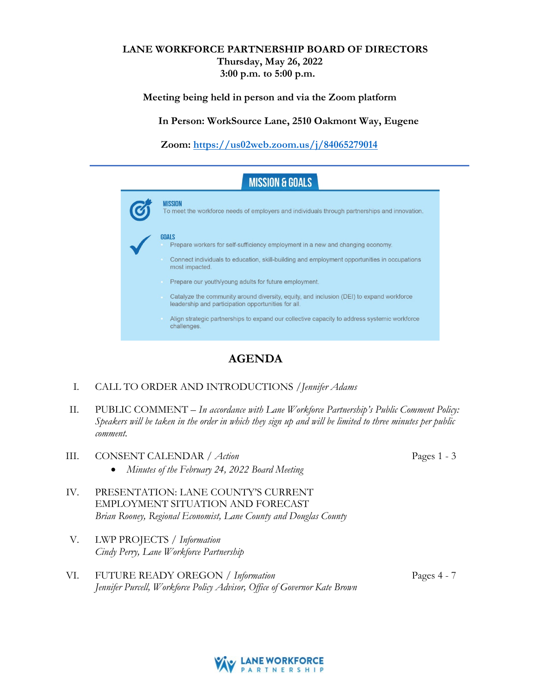# **LANE WORKFORCE PARTNERSHIP BOARD OF DIRECTORS Thursday, May 26, 2022 3:00 p.m. to 5:00 p.m.**

**Meeting being held in person and via the Zoom platform**

**In Person: WorkSource Lane, 2510 Oakmont Way, Eugene**

**Zoom:<https://us02web.zoom.us/j/84065279014>**



# **AGENDA**

- I. CALL TO ORDER AND INTRODUCTIONS /*Jennifer Adams*
- II. PUBLIC COMMENT *In accordance with Lane Workforce Partnership's Public Comment Policy: Speakers will be taken in the order in which they sign up and will be limited to three minutes per public comment.*
- III. CONSENT CALENDAR / *Action* • *Minutes of the February 24, 2022 Board Meeting*
- IV. PRESENTATION: LANE COUNTY'S CURRENT EMPLOYMENT SITUATION AND FORECAST *Brian Rooney, Regional Economist, Lane County and Douglas County*
- V. LWP PROJECTS / *Information Cindy Perry, Lane Workforce Partnership*
- Pages 4 7 VI. FUTURE READY OREGON / *Information Jennifer Purcell, Workforce Policy Advisor, Office of Governor Kate Brown*



Pages 1 - 3